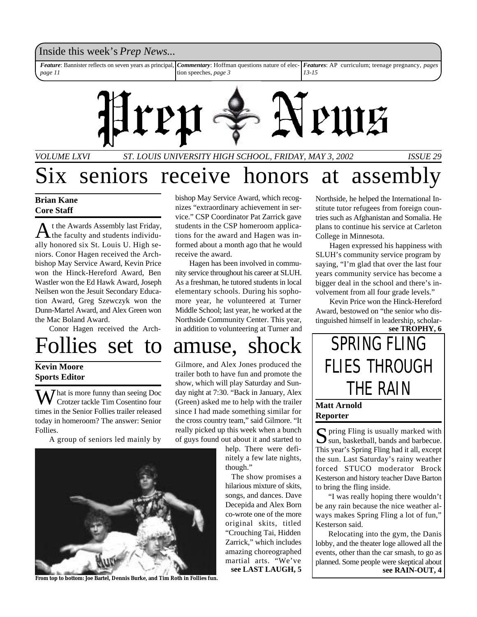

# seniors receive honors at assembly

### **Brian Kane Core Staff**

A t the Awards Assembly last Friday, the faculty and students individually honored six St. Louis U. High seniors. Conor Hagen received the Archbishop May Service Award, Kevin Price won the Hinck-Hereford Award, Ben Wastler won the Ed Hawk Award, Joseph Neilsen won the Jesuit Secondary Education Award, Greg Szewczyk won the Dunn-Martel Award, and Alex Green won the Mac Boland Award.

Conor Hagen received the Arch-

Follies set to amuse, shock | SPRING FLING

### **Kevin Moore Sports Editor**

 $\sum$  *T* hat is more funny than seeing Doc Crotzer tackle Tim Cosentino four times in the Senior Follies trailer released today in homeroom? The answer: Senior Follies.

A group of seniors led mainly by



**From top to bottom: Joe Bartel, Dennis Burke, and Tim Roth in Follies fun.**

bishop May Service Award, which recognizes "extraordinary achievement in service." CSP Coordinator Pat Zarrick gave students in the CSP homeroom applications for the award and Hagen was informed about a month ago that he would receive the award.

Hagen has been involved in community service throughout his career at SLUH. As a freshman, he tutored students in local elementary schools. During his sophomore year, he volunteered at Turner Middle School; last year, he worked at the Northside Community Center. This year, in addition to volunteering at Turner and

Gilmore, and Alex Jones produced the trailer both to have fun and promote the show, which will play Saturday and Sunday night at 7:30. "Back in January, Alex (Green) asked me to help with the trailer since I had made something similar for the cross country team," said Gilmore. "It really picked up this week when a bunch of guys found out about it and started to

help. There were definitely a few late nights, though."

The show promises a hilarious mixture of skits, songs, and dances. Dave Decepida and Alex Born co-wrote one of the more original skits, titled "Crouching Tai, Hidden Zarrick," which includes amazing choreographed martial arts. "We've **see LAST LAUGH, 5**

Northside, he helped the International Institute tutor refugees from foreign countries such as Afghanistan and Somalia. He plans to continue his service at Carleton College in Minnesota.

Hagen expressed his happiness with SLUH's community service program by saying, "I'm glad that over the last four years community service has become a bigger deal in the school and there's involvement from all four grade levels."

Kevin Price won the Hinck-Hereford Award, bestowed on "the senior who distinguished himself in leadership, scholar-



### **Matt Arnold Reporter**

S pring Fling is usually marked with<br>
sun, basketball, bands and barbecue. sun, basketball, bands and barbecue. This year's Spring Fling had it all, except the sun. Last Saturday's rainy weather forced STUCO moderator Brock Kesterson and history teacher Dave Barton to bring the fling inside.

"I was really hoping there wouldn't be any rain because the nice weather always makes Spring Fling a lot of fun," Kesterson said.

Relocating into the gym, the Danis lobby, and the theater loge allowed all the events, other than the car smash, to go as planned. Some people were skeptical about **see RAIN-OUT, 4**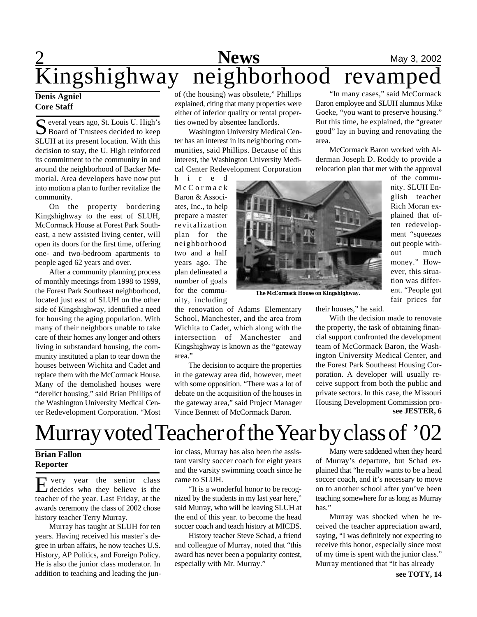## **1 News** May 3, 2002 Kingshighway neighborhood revamped

### **Denis Agniel Core Staff**

Several years ago, St. Louis U. High's Board of Trustees decided to keep SLUH at its present location. With this decision to stay, the U. High reinforced its commitment to the community in and around the neighborhood of Backer Memorial. Area developers have now put into motion a plan to further revitalize the community.

On the property bordering Kingshighway to the east of SLUH, McCormack House at Forest Park Southeast, a new assisted living center, will open its doors for the first time, offering one- and two-bedroom apartments to people aged 62 years and over.

After a community planning process of monthly meetings from 1998 to 1999, the Forest Park Southeast neighborhood, located just east of SLUH on the other side of Kingshighway, identified a need for housing the aging population. With many of their neighbors unable to take care of their homes any longer and others living in substandard housing, the community instituted a plan to tear down the houses between Wichita and Cadet and replace them with the McCormack House. Many of the demolished houses were "derelict housing," said Brian Phillips of the Washington University Medical Center Redevelopment Corporation. "Most of (the housing) was obsolete," Phillips explained, citing that many properties were either of inferior quality or rental properties owned by absentee landlords.

Washington University Medical Center has an interest in its neighboring communities, said Phillips. Because of this interest, the Washington University Medical Center Redevelopment Corporation

h i r e d M c C o r m a c k Baron & Associates, Inc., to help prepare a master revitalization plan for the neighborhood two and a half years ago. The plan delineated a number of goals for the community, including

the renovation of Adams Elementary School, Manchester, and the area from Wichita to Cadet, which along with the intersection of Manchester and Kingshighway is known as the "gateway area."

The decision to acquire the properties in the gateway area did, however, meet with some opposition. "There was a lot of debate on the acquisition of the houses in the gateway area," said Project Manager Vince Bennett of McCormack Baron.

"In many cases," said McCormack Baron employee and SLUH alumnus Mike Goeke, "you want to preserve housing." But this time, he explained, the "greater good" lay in buying and renovating the area.

McCormack Baron worked with Alderman Joseph D. Roddy to provide a relocation plan that met with the approval



**The McCormack House on Kingshighway.**

of the community. SLUH English teacher Rich Moran explained that often redevelopment "squeezes out people without much money." However, this situation was different. "People got fair prices for

their houses," he said.

**see JESTER, 6** With the decision made to renovate the property, the task of obtaining financial support confronted the development team of McCormack Baron, the Washington University Medical Center, and the Forest Park Southeast Housing Corporation. A developer will usually receive support from both the public and private sectors. In this case, the Missouri Housing Development Commission pro-

## Murray voted Teacher of the Year by class of '02

### **Brian Fallon Reporter**

E very year the senior class very year the senior class teacher of the year. Last Friday, at the awards ceremony the class of 2002 chose history teacher Terry Murray.

Murray has taught at SLUH for ten years. Having received his master's degree in urban affairs, he now teaches U.S. History, AP Politics, and Foreign Policy. He is also the junior class moderator. In addition to teaching and leading the junior class, Murray has also been the assistant varsity soccer coach for eight years and the varsity swimming coach since he came to SLUH.

"It is a wonderful honor to be recognized by the students in my last year here," said Murray, who will be leaving SLUH at the end of this year. to become the head soccer coach and teach history at MICDS.

History teacher Steve Schad, a friend and colleague of Murray, noted that "this award has never been a popularity contest, especially with Mr. Murray."

Many were saddened when they heard of Murray's departure, but Schad explained that "he really wants to be a head soccer coach, and it's necessary to move on to another school after you've been teaching somewhere for as long as Murray has."

Murray was shocked when he received the teacher appreciation award, saying, "I was definitely not expecting to receive this honor, especially since most of my time is spent with the junior class." Murray mentioned that "it has already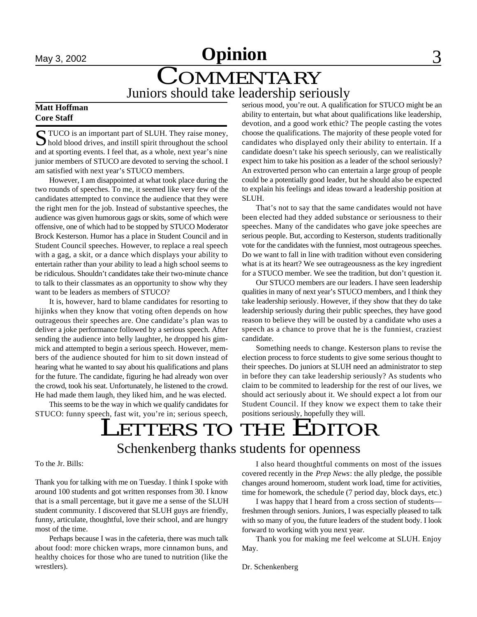

## **COMMENTARY** Juniors should take leadership seriously

### **Matt Hoffman Core Staff**

S TUCO is an important part of SLUH. They raise money,<br>hold blood drives, and instill spirit throughout the school TUCO is an important part of SLUH. They raise money, and at sporting events. I feel that, as a whole, next year's nine junior members of STUCO are devoted to serving the school. I am satisfied with next year's STUCO members.

However, I am disappointed at what took place during the two rounds of speeches. To me, it seemed like very few of the candidates attempted to convince the audience that they were the right men for the job. Instead of substantive speeches, the audience was given humorous gags or skits, some of which were offensive, one of which had to be stopped by STUCO Moderator Brock Kesterson. Humor has a place in Student Council and in Student Council speeches. However, to replace a real speech with a gag, a skit, or a dance which displays your ability to entertain rather than your ability to lead a high school seems to be ridiculous. Shouldn't candidates take their two-minute chance to talk to their classmates as an opportunity to show why they want to be leaders as members of STUCO?

It is, however, hard to blame candidates for resorting to hijinks when they know that voting often depends on how outrageous their speeches are. One candidate's plan was to deliver a joke performance followed by a serious speech. After sending the audience into belly laughter, he dropped his gimmick and attempted to begin a serious speech. However, members of the audience shouted for him to sit down instead of hearing what he wanted to say about his qualifications and plans for the future. The candidate, figuring he had already won over the crowd, took his seat. Unfortunately, he listened to the crowd. He had made them laugh, they liked him, and he was elected.

This seems to be the way in which we qualify candidates for STUCO: funny speech, fast wit, you're in; serious speech, serious mood, you're out. A qualification for STUCO might be an ability to entertain, but what about qualifications like leadership, devotion, and a good work ethic? The people casting the votes choose the qualifications. The majority of these people voted for candidates who displayed only their ability to entertain. If a candidate doesn't take his speech seriously, can we realistically expect him to take his position as a leader of the school seriously? An extroverted person who can entertain a large group of people could be a potentially good leader, but he should also be expected to explain his feelings and ideas toward a leadership position at SLUH.

That's not to say that the same candidates would not have been elected had they added substance or seriousness to their speeches. Many of the candidates who gave joke speeches are serious people. But, according to Kesterson, students traditionally vote for the candidates with the funniest, most outrageous speeches. Do we want to fall in line with tradition without even considering what is at its heart? We see outrageousness as the key ingredient for a STUCO member. We see the tradition, but don't question it.

Our STUCO members are our leaders. I have seen leadership qualities in many of next year's STUCO members, and I think they take leadership seriously. However, if they show that they do take leadership seriously during their public speeches, they have good reason to believe they will be ousted by a candidate who uses a speech as a chance to prove that he is the funniest, craziest candidate.

Something needs to change. Kesterson plans to revise the election process to force students to give some serious thought to their speeches. Do juniors at SLUH need an administrator to step in before they can take leadership seriously? As students who claim to be commited to leadership for the rest of our lives, we should act seriously about it. We should expect a lot from our Student Council. If they know we expect them to take their positions seriously, hopefully they will.

### $\overline{a}$ Schenkenberg thanks students for openness LETTERS TO THE EDITOR

To the Jr. Bills:

Thank you for talking with me on Tuesday. I think I spoke with around 100 students and got written responses from 30. I know that is a small percentage, but it gave me a sense of the SLUH student community. I discovered that SLUH guys are friendly, funny, articulate, thoughtful, love their school, and are hungry most of the time.

Perhaps because I was in the cafeteria, there was much talk about food: more chicken wraps, more cinnamon buns, and healthy choices for those who are tuned to nutrition (like the wrestlers).

I also heard thoughtful comments on most of the issues covered recently in the *Prep News*: the ally pledge, the possible changes around homeroom, student work load, time for activities, time for homework, the schedule (7 period day, block days, etc.)

I was happy that I heard from a cross section of students freshmen through seniors. Juniors, I was especially pleased to talk with so many of you, the future leaders of the student body. I look forward to working with you next year.

Thank you for making me feel welcome at SLUH. Enjoy May.

Dr. Schenkenberg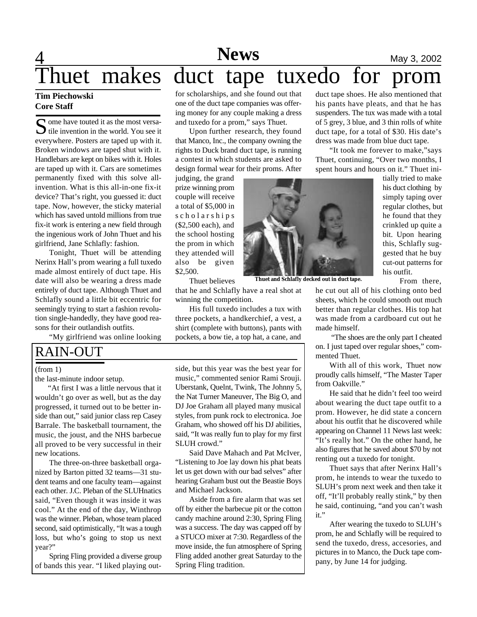## **A News** May 3, 2002

## Thuet makes duct tape tuxedo for prom

### **Tim Piechowski Core Staff**

S ome have touted it as the most versa-<br>tile invention in the world. You see it  $\bigcup$  tile invention in the world. You see it everywhere. Posters are taped up with it. Broken windows are taped shut with it. Handlebars are kept on bikes with it. Holes are taped up with it. Cars are sometimes permanently fixed with this solve allinvention. What is this all-in-one fix-it device? That's right, you guessed it: duct tape. Now, however, the sticky material which has saved untold millions from true fix-it work is entering a new field through the ingenious work of John Thuet and his girlfriend, Jane Schlafly: fashion.

Tonight, Thuet will be attending Nerinx Hall's prom wearing a full tuxedo made almost entirely of duct tape. His date will also be wearing a dress made entirely of duct tape. Although Thuet and Schlafly sound a little bit eccentric for seemingly trying to start a fashion revolution single-handedly, they have good reasons for their outlandish outfits.

"My girlfriend was online looking

### RAIN-OUT

### (from 1)

the last-minute indoor setup.

"At first I was a little nervous that it wouldn't go over as well, but as the day progressed, it turned out to be better inside than out," said junior class rep Casey Barrale. The basketball tournament, the music, the joust, and the NHS barbecue all proved to be very successful in their new locations.

The three-on-three basketball organized by Barton pitted 32 teams—31 student teams and one faculty team—against each other. J.C. Pleban of the SLUHnatics said, "Even though it was inside it was cool." At the end of the day, Winthrop was the winner. Pleban, whose team placed second, said optimistically, "It was a tough loss, but who's going to stop us next year?"

Spring Fling provided a diverse group of bands this year. "I liked playing outfor scholarships, and she found out that one of the duct tape companies was offering money for any couple making a dress and tuxedo for a prom," says Thuet.

Upon further research, they found that Manco, Inc., the company owning the rights to Duck brand duct tape, is running a contest in which students are asked to design formal wear for their proms. After

judging, the grand prize winning prom couple will receive a total of \$5,000 in s c h o l a r s h i p s (\$2,500 each), and the school hosting the prom in which they attended will also be given \$2,500.

Thuet believes

that he and Schlafly have a real shot at winning the competition.

His full tuxedo includes a tux with three pockets, a handkerchief, a vest, a shirt (complete with buttons), pants with pockets, a bow tie, a top hat, a cane, and

side, but this year was the best year for music," commented senior Rami Srouji. Uberstank, Quelnt, Twink, The Johnny 5, the Nat Turner Maneuver, The Big O, and DJ Joe Graham all played many musical styles, from punk rock to electronica. Joe Graham, who showed off his DJ abilities, said, "It was really fun to play for my first SLUH crowd."

Said Dave Mahach and Pat McIver, "Listening to Joe lay down his phat beats let us get down with our bad selves" after hearing Graham bust out the Beastie Boys and Michael Jackson.

Aside from a fire alarm that was set off by either the barbecue pit or the cotton candy machine around 2:30, Spring Fling was a success. The day was capped off by a STUCO mixer at 7:30. Regardless of the move inside, the fun atmosphere of Spring Fling added another great Saturday to the Spring Fling tradition.

duct tape shoes. He also mentioned that his pants have pleats, and that he has suspenders. The tux was made with a total of 5 grey, 3 blue, and 3 thin rolls of white duct tape, for a total of \$30. His date's dress was made from blue duct tape.

"It took me forever to make,"says Thuet, continuing, "Over two months, I spent hours and hours on it." Thuet ini-

**Thuet and Schlafly decked out in duct tape.**

tially tried to make his duct clothing by simply taping over regular clothes, but he found that they crinkled up quite a bit. Upon hearing this, Schlafly suggested that he buy cut-out patterns for his outfit.

From there,

he cut out all of his clothing onto bed sheets, which he could smooth out much better than regular clothes. His top hat was made from a cardboard cut out he made himself.

 "The shoes are the only part I cheated on. I just taped over regular shoes," commented Thuet.

With all of this work, Thuet now proudly calls himself, "The Master Taper from Oakville."

He said that he didn't feel too weird about wearing the duct tape outfit to a prom. However, he did state a concern about his outfit that he discovered while appearing on Channel 11 News last week: "It's really hot." On the other hand, he also figures that he saved about \$70 by not renting out a tuxedo for tonight.

Thuet says that after Nerinx Hall's prom, he intends to wear the tuxedo to SLUH's prom next week and then take it off, "It'll probably really stink," by then he said, continuing, "and you can't wash it."

After wearing the tuxedo to SLUH's prom, he and Schlafly will be required to send the tuxedo, dress, accesories, and pictures in to Manco, the Duck tape company, by June 14 for judging.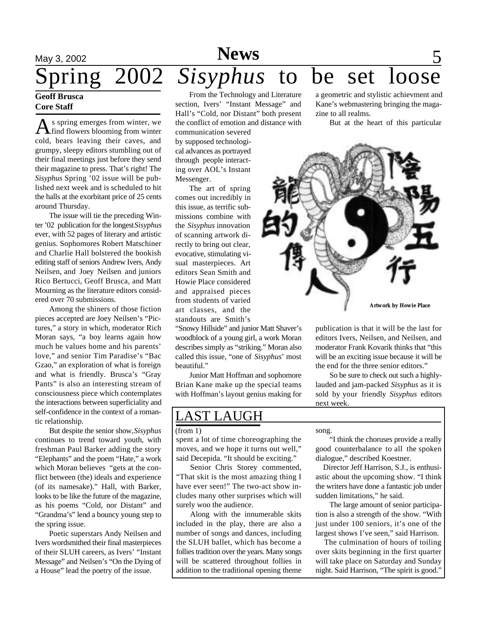### May 3, 2002 **News** 5 **Geoff Brusca** From the Technology and Literature Spring 2002 *Sisyphus* to be set loose a geometric and stylistic achievment and

### **Core Staff**

 $\bigwedge$ s spring emerges from winter, we find flowers blooming from winter cold, bears leaving their caves, and grumpy, sleepy editors stumbling out of their final meetings just before they send their magazine to press. That's right! The *Sisyphus* Spring '02 issue will be published next week and is scheduled to hit the halls at the exorbitant price of 25 cents around Thursday.

The issue will tie the preceding Winter '02 publication for the longest *Sisyphus* ever, with 52 pages of literary and artistic genius. Sophomores Robert Matschiner and Charlie Hall bolstered the bookish editing staff of seniors Andrew Ivers, Andy Neilsen, and Joey Neilsen and juniors Rico Bertucci, Geoff Brusca, and Matt Mourning as the literature editors considered over 70 submissions.

Among the shiners of those fiction pieces accepted are Joey Neilsen's "Pictures," a story in which, moderator Rich Moran says, "a boy learns again how much he values home and his parents' love," and senior Tim Paradise's "Bac Gzao," an exploration of what is foreign and what is friendly. Brusca's "Gray Pants" is also an interesting stream of consciousness piece which contemplates the interactions between superficiality and self-confidence in the context of a romantic relationship.

But despite the senior show, *Sisyphus* continues to trend toward youth, with freshman Paul Barker adding the story "Elephants" and the poem "Hate," a work which Moran believes "gets at the conflict between (the) ideals and experience (of its namesake)." Hall, with Barker, looks to be like the future of the magazine, as his poems "Cold, nor Distant" and "Grandma's" lend a bouncy young step to the spring issue.

Poetic superstars Andy Neilsen and Ivers wordsmithed their final masterpieces of their SLUH careers, as Ivers' "Instant Message" and Neilsen's "On the Dying of a House" lead the poetry of the issue.

section, Ivers' "Instant Message" and Hall's "Cold, nor Distant" both present the conflict of emotion and distance with

communication severed by supposed technological advances as portrayed through people interacting over AOL's Instant Messenger.

The art of spring comes out incredibly in this issue, as terrific submissions combine with the *Sisyphus* innovation of scanning artwork directly to bring out clear, evocative, stimulating visual masterpieces. Art editors Sean Smith and Howie Place considered and appraised pieces from students of varied art classes, and the standouts are Smith's

"Snowy Hillside" and junior Matt Shaver's woodblock of a young girl, a work Moran describes simply as "striking." Moran also called this issue, "one of *Sisyphus*' most beautiful."

Junior Matt Hoffman and sophomore Brian Kane make up the special teams with Hoffman's layout genius making for

### LAST LAUGH

### (from 1)

spent a lot of time choreographing the moves, and we hope it turns out well," said Decepida. "It should be exciting."

Senior Chris Storey commented, "That skit is the most amazing thing I have ever seen!" The two-act show includes many other surprises which will surely woo the audience.

Along with the innumerable skits included in the play, there are also a number of songs and dances, including the SLUH ballet, which has become a follies tradition over the years. Many songs will be scattered throughout follies in addition to the traditional opening theme

Kane's webmastering bringing the magazine to all realms.

But at the heart of this particular



publication is that it will be the last for editors Ivers, Neilsen, and Neilsen, and moderator Frank Kovarik thinks that "this will be an exciting issue because it will be the end for the three senior editors."

So be sure to check out such a highlylauded and jam-packed *Sisyphus* as it is sold by your friendly *Sisyphus* editors next week.

song.

"I think the choruses provide a really good counterbalance to all the spoken dialogue," described Koestner.

 Director Jeff Harrison, S.J., is enthusiastic about the upcoming show. "I think the writers have done a fantastic job under sudden limitations," he said.

The large amount of senior participation is also a strength of the show. "With just under 100 seniors, it's one of the largest shows I've seen," said Harrison.

 The culmination of hours of toiling over skits beginning in the first quarter will take place on Saturday and Sunday night. Said Harrison, "The spirit is good."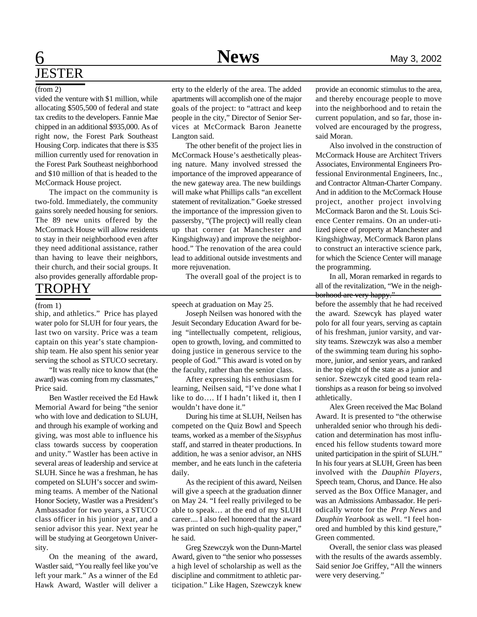## **News**

## **6** Mews May 3, 2002 **JESTER**

### (from 2)

vided the venture with \$1 million, while allocating \$505,500 of federal and state tax credits to the developers. Fannie Mae chipped in an additional \$935,000. As of right now, the Forest Park Southeast Housing Corp. indicates that there is \$35 million currently used for renovation in the Forest Park Southeast neighborhood and \$10 million of that is headed to the McCormack House project.

The impact on the community is two-fold. Immediately, the community gains sorely needed housing for seniors. The 89 new units offered by the McCormack House will allow residents to stay in their neighborhood even after they need additional assistance, rather than having to leave their neighbors, their church, and their social groups. It also provides generally affordable prop-

### TROPHY

#### (from 1)

ship, and athletics." Price has played water polo for SLUH for four years, the last two on varsity. Price was a team captain on this year's state championship team. He also spent his senior year serving the school as STUCO secretary.

"It was really nice to know that (the award) was coming from my classmates," Price said.

Ben Wastler received the Ed Hawk Memorial Award for being "the senior who with love and dedication to SLUH, and through his example of working and giving, was most able to influence his class towards success by cooperation and unity." Wastler has been active in several areas of leadership and service at SLUH. Since he was a freshman, he has competed on SLUH's soccer and swimming teams. A member of the National Honor Society, Wastler was a President's Ambassador for two years, a STUCO class officer in his junior year, and a senior advisor this year. Next year he will be studying at Georgetown University.

On the meaning of the award, Wastler said, "You really feel like you've left your mark." As a winner of the Ed Hawk Award, Wastler will deliver a erty to the elderly of the area. The added apartments will accomplish one of the major goals of the project: to "attract and keep people in the city," Director of Senior Services at McCormack Baron Jeanette Langton said.

The other benefit of the project lies in McCormack House's aesthetically pleasing nature. Many involved stressed the importance of the improved appearance of the new gateway area. The new buildings will make what Phillips calls "an excellent statement of revitalization." Goeke stressed the importance of the impression given to passersby, "(The project) will really clean up that corner (at Manchester and Kingshighway) and improve the neighborhood." The renovation of the area could lead to additional outside investments and more rejuvenation.

The overall goal of the project is to

speech at graduation on May 25.

Joseph Neilsen was honored with the Jesuit Secondary Education Award for being "intellectually competent, religious, open to growth, loving, and committed to doing justice in generous service to the people of God." This award is voted on by the faculty, rather than the senior class.

After expressing his enthusiasm for learning, Neilsen said, "I've done what I like to do…. If I hadn't liked it, then I wouldn't have done it."

During his time at SLUH, Neilsen has competed on the Quiz Bowl and Speech teams, worked as a member of the *Sisyphus* staff, and starred in theater productions. In addition, he was a senior advisor, an NHS member, and he eats lunch in the cafeteria daily.

As the recipient of this award, Neilsen will give a speech at the graduation dinner on May 24. "I feel really privileged to be able to speak… at the end of my SLUH career.... I also feel honored that the award was printed on such high-quality paper," he said.

Greg Szewczyk won the Dunn-Martel Award, given to "the senior who possesses a high level of scholarship as well as the discipline and commitment to athletic participation." Like Hagen, Szewczyk knew

provide an economic stimulus to the area, and thereby encourage people to move into the neighborhood and to retain the current population, and so far, those involved are encouraged by the progress, said Moran.

Also involved in the construction of McCormack House are Architect Trivers Associates, Environmental Engineers Professional Environmental Engineers, Inc., and Contractor Altman-Charter Company. And in addition to the McCormack House project, another project involving McCormack Baron and the St. Louis Science Center remains. On an under-utilized piece of property at Manchester and Kingshighway, McCormack Baron plans to construct an interactive science park, for which the Science Center will manage the programming.

In all, Moran remarked in regards to all of the revitalization, "We in the neighborhood are very happy."

before the assembly that he had received the award. Szewcyk has played water polo for all four years, serving as captain of his freshman, junior varsity, and varsity teams. Szewczyk was also a member of the swimming team during his sophomore, junior, and senior years, and ranked in the top eight of the state as a junior and senior. Szewczyk cited good team relationships as a reason for being so involved athletically.

Alex Green received the Mac Boland Award. It is presented to "the otherwise unheralded senior who through his dedication and determination has most influenced his fellow students toward more united participation in the spirit of SLUH." In his four years at SLUH, Green has been involved with the *Dauphin Players*, Speech team, Chorus, and Dance. He also served as the Box Office Manager, and was an Admissions Ambassador. He periodically wrote for the *Prep News* and *Dauphin Yearbook* as well. "I feel honored and humbled by this kind gesture," Green commented.

Overall, the senior class was pleased with the results of the awards assembly. Said senior Joe Griffey, "All the winners were very deserving."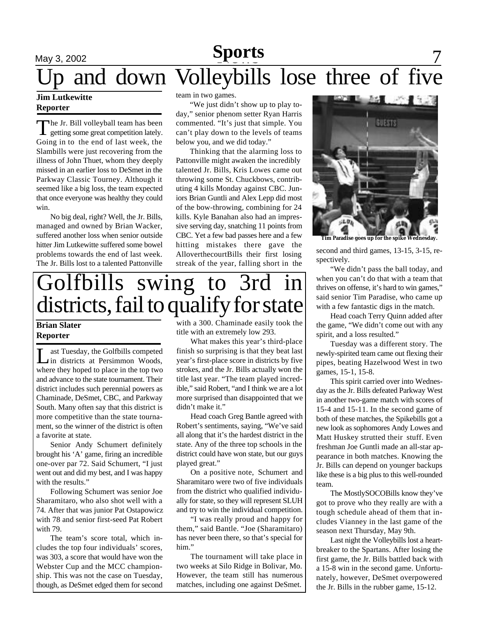### May 3, 2002 **News** 7 **Sports** team in two games. and down Volleybills lose three of five

### **Jim Lutkewitte Reporter**

T he Jr. Bill volleyball team has been getting some great competition lately. Going in to the end of last week, the Slambills were just recovering from the illness of John Thuet, whom they deeply missed in an earlier loss to DeSmet in the Parkway Classic Tourney. Although it seemed like a big loss, the team expected that once everyone was healthy they could win.

No big deal, right? Well, the Jr. Bills, managed and owned by Brian Wacker, suffered another loss when senior outside hitter Jim Lutkewitte suffered some bowel problems towards the end of last week. The Jr. Bills lost to a talented Pattonville

"We just didn't show up to play today," senior phenom setter Ryan Harris commented. "It's just that simple. You can't play down to the levels of teams below you, and we did today."

Thinking that the alarming loss to Pattonville might awaken the incredibly talented Jr. Bills, Kris Lowes came out throwing some St. Chuckbows, contributing 4 kills Monday against CBC. Juniors Brian Guntli and Alex Lepp did most of the bow-throwing, combining for 24 kills. Kyle Banahan also had an impressive serving day, snatching 11 points from CBC. Yet a few bad passes here and a few hitting mistakes there gave the AlloverthecourtBills their first losing streak of the year, falling short in the

## Golfbills swing to 3rd in districts, fail to qualify for state

### **Brian Slater Reporter**

Let Tuesday, the Golfbills competed<br>
in districts at Persimmon Woods, ast Tuesday, the Golfbills competed where they hoped to place in the top two and advance to the state tournament. Their district includes such perennial powers as Chaminade, DeSmet, CBC, and Parkway South. Many often say that this district is more competitive than the state tournament, so the winner of the district is often a favorite at state.

Senior Andy Schumert definitely brought his 'A' game, firing an incredible one-over par 72. Said Schumert, "I just went out and did my best, and I was happy with the results."

Following Schumert was senior Joe Sharamitaro, who also shot well with a 74. After that was junior Pat Ostapowicz with 78 and senior first-seed Pat Robert with 79.

The team's score total, which includes the top four individuals' scores, was 303, a score that would have won the Webster Cup and the MCC championship. This was not the case on Tuesday, though, as DeSmet edged them for second with a 300. Chaminade easily took the title with an extremely low 293.

What makes this year's third-place finish so surprising is that they beat last year's first-place score in districts by five strokes, and the Jr. Bills actually won the title last year. "The team played incredible," said Robert, "and I think we are a lot more surprised than disappointed that we didn't make it."

Head coach Greg Bantle agreed with Robert's sentiments, saying, "We've said all along that it's the hardest district in the state. Any of the three top schools in the district could have won state, but our guys played great."

On a positive note, Schumert and Sharamitaro were two of five individuals from the district who qualified individually for state, so they will represent SLUH and try to win the individual competition.

"I was really proud and happy for them," said Bantle. "Joe (Sharamitaro) has never been there, so that's special for him."

The tournament will take place in two weeks at Silo Ridge in Bolivar, Mo. However, the team still has numerous matches, including one against DeSmet.



 **Tim Paradise goes up for the spike Wednesday.**

second and third games, 13-15, 3-15, respectively.

"We didn't pass the ball today, and when you can't do that with a team that thrives on offense, it's hard to win games," said senior Tim Paradise, who came up with a few fantastic digs in the match.

Head coach Terry Quinn added after the game, "We didn't come out with any spirit, and a loss resulted."

Tuesday was a different story. The newly-spirited team came out flexing their pipes, beating Hazelwood West in two games, 15-1, 15-8.

This spirit carried over into Wednesday as the Jr. Bills defeated Parkway West in another two-game match with scores of 15-4 and 15-11. In the second game of both of these matches, the Spikebills got a new look as sophomores Andy Lowes and Matt Huskey strutted their stuff. Even freshman Joe Guntli made an all-star appearance in both matches. Knowing the Jr. Bills can depend on younger backups like these is a big plus to this well-rounded team.

The MostlySOCOBills know they've got to prove who they really are with a tough schedule ahead of them that includes Vianney in the last game of the season next Thursday, May 9th.

Last night the Volleybills lost a heartbreaker to the Spartans. After losing the first game, the Jr. Bills battled back with a 15-8 win in the second game. Unfortunately, however, DeSmet overpowered the Jr. Bills in the rubber game, 15-12.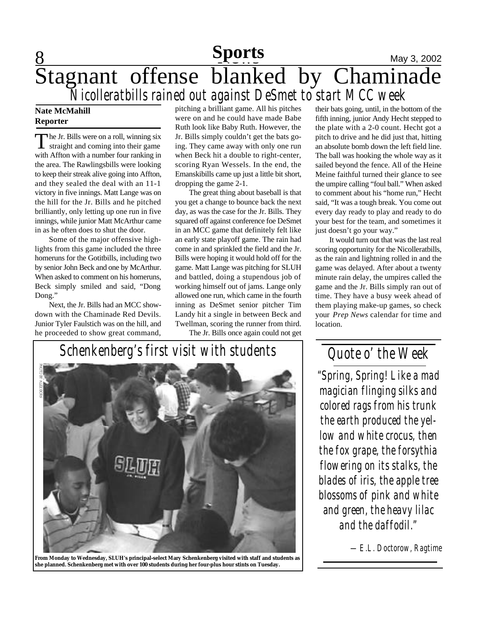### 8 **Sports** May 3, 2002 Stagnant offense blanked by Chaminade *Nicolleratbills rained out against DeSmet to start MCC week*

### **Nate McMahill Reporter**

The Jr. Bills were on a roll, winning six<br>straight and coming into their game he Jr. Bills were on a roll, winning six with Affton with a number four ranking in the area. The Rawlingsbills were looking to keep their streak alive going into Affton, and they sealed the deal with an 11-1 victory in five innings. Matt Lange was on the hill for the Jr. Bills and he pitched brilliantly, only letting up one run in five innings, while junior Matt McArthur came in as he often does to shut the door.

Some of the major offensive highlights from this game included the three homeruns for the Gotitbills, including two by senior John Beck and one by McArthur. When asked to comment on his homeruns, Beck simply smiled and said, "Dong Dong."

Next, the Jr. Bills had an MCC showdown with the Chaminade Red Devils. Junior Tyler Faulstich was on the hill, and he proceeded to show great command, pitching a brilliant game. All his pitches were on and he could have made Babe Ruth look like Baby Ruth. However, the Jr. Bills simply couldn't get the bats going. They came away with only one run when Beck hit a double to right-center, scoring Ryan Wessels. In the end, the Emanskibills came up just a little bit short, dropping the game 2-1.

The great thing about baseball is that you get a change to bounce back the next day, as was the case for the Jr. Bills. They squared off against conference foe DeSmet in an MCC game that definitely felt like an early state playoff game. The rain had come in and sprinkled the field and the Jr. Bills were hoping it would hold off for the game. Matt Lange was pitching for SLUH and battled, doing a stupendous job of working himself out of jams. Lange only allowed one run, which came in the fourth inning as DeSmet senior pitcher Tim Landy hit a single in between Beck and Twellman, scoring the runner from third. The Jr. Bills once again could not get

their bats going, until, in the bottom of the fifth inning, junior Andy Hecht stepped to the plate with a 2-0 count. Hecht got a pitch to drive and he did just that, hitting an absolute bomb down the left field line. The ball was hooking the whole way as it sailed beyond the fence. All of the Heine Meine faithful turned their glance to see the umpire calling "foul ball." When asked to comment about his "home run," Hecht said, "It was a tough break. You come out every day ready to play and ready to do your best for the team, and sometimes it just doesn't go your way."

It would turn out that was the last real scoring opportunity for the Nicolleratbills, as the rain and lightning rolled in and the game was delayed. After about a twenty minute rain delay, the umpires called the game and the Jr. Bills simply ran out of time. They have a busy week ahead of them playing make-up games, so check your *Prep News* calendar for time and location.



**From Monday to Wednesday, SLUH's principal-select Mary Schenkenberg visited with staff and students as she planned. Schenkenberg met with over 100 students during her four-plus hour stints on Tuesday.**

*Quote o' the Week*

*"Spring, Spring! Like a mad magician flinging silks and colored rags from his trunk the earth produced the yellow and white crocus, then the fox grape, the forsythia flowering on its stalks, the blades of iris, the apple tree blossoms of pink and white and green, the heavy lilac and the daffodil."*

*—E.L. Doctorow, Ragtime*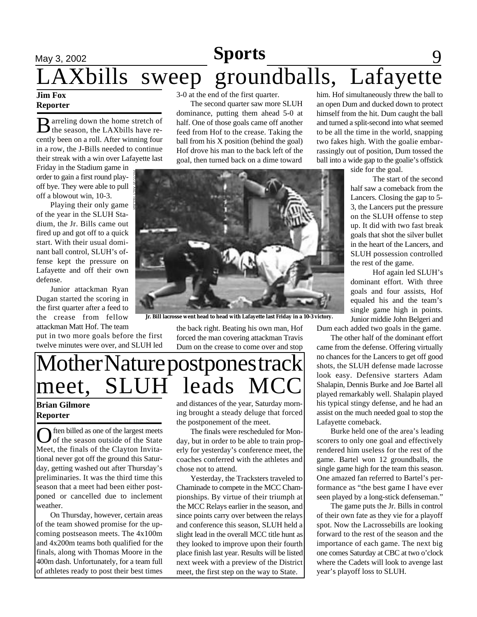# **May** 3, 2002 **Feature 3 Sports Feature 3 Sports** 9 LAXbills sweep groundballs, Lafayette

### **Jim Fox Reporter**

 $\mathbf B$  arreling down the home stretch of arreling down the home stretch of cently been on a roll. After winning four in a row, the J-Bills needed to continue their streak with a win over Lafayette last

Friday in the Stadium game in order to gain a first round playoff bye. They were able to pull off a blowout win, 10-3.

Playing their only game of the year in the SLUH Stadium, the Jr. Bills came out fired up and got off to a quick start. With their usual dominant ball control, SLUH's offense kept the pressure on Lafayette and off their own defense.

Junior attackman Ryan Dugan started the scoring in the first quarter after a feed to the crease from fellow attackman Matt Hof. The team

put in two more goals before the first twelve minutes were over, and SLUH led

3-0 at the end of the first quarter.

The second quarter saw more SLUH dominance, putting them ahead 5-0 at half. One of those goals came off another feed from Hof to the crease. Taking the ball from his X position (behind the goal) Hof drove his man to the back left of the goal, then turned back on a dime toward



 **Jr. Bill lacrosse went head to head with Lafayette last Friday in a 10-3 victory.**

the back right. Beating his own man, Hof forced the man covering attackman Travis Dum on the crease to come over and stop

## Mother Nature postpones track meet, SLUH leads MCC

### **Brian Gilmore Reporter**

Of the season outside of the State ften billed as one of the largest meets Meet, the finals of the Clayton Invitational never got off the ground this Saturday, getting washed out after Thursday's preliminaries. It was the third time this season that a meet had been either postponed or cancelled due to inclement weather.

On Thursday, however, certain areas of the team showed promise for the upcoming postseason meets. The 4x100m and 4x200m teams both qualified for the finals, along with Thomas Moore in the 400m dash. Unfortunately, for a team full of athletes ready to post their best times and distances of the year, Saturday morning brought a steady deluge that forced the postponement of the meet.

The finals were rescheduled for Monday, but in order to be able to train properly for yesterday's conference meet, the coaches conferred with the athletes and chose not to attend.

Yesterday, the Tracksters traveled to Chaminade to compete in the MCC Championships. By virtue of their triumph at the MCC Relays earlier in the season, and since points carry over between the relays and conference this season, SLUH held a slight lead in the overall MCC title hunt as they looked to improve upon their fourth place finish last year. Results will be listed next week with a preview of the District meet, the first step on the way to State.

him. Hof simultaneously threw the ball to an open Dum and ducked down to protect himself from the hit. Dum caught the ball and turned a split-second into what seemed to be all the time in the world, snapping two fakes high. With the goalie embarrassingly out of position, Dum tossed the ball into a wide gap to the goalie's offstick

side for the goal.

The start of the second half saw a comeback from the Lancers. Closing the gap to 5- 3, the Lancers put the pressure on the SLUH offense to step up. It did with two fast break goals that shot the silver bullet in the heart of the Lancers, and SLUH possession controlled the rest of the game.

Hof again led SLUH's dominant effort. With three goals and four assists, Hof equaled his and the team's single game high in points. Junior middie John Belgeri and

Dum each added two goals in the game.

The other half of the dominant effort came from the defense. Offering virtually no chances for the Lancers to get off good shots, the SLUH defense made lacrosse look easy. Defensive starters Adam Shalapin, Dennis Burke and Joe Bartel all played remarkably well. Shalapin played his typical stingy defense, and he had an assist on the much needed goal to stop the Lafayette comeback.

Burke held one of the area's leading scorers to only one goal and effectively rendered him useless for the rest of the game. Bartel won 12 groundballs, the single game high for the team this season. One amazed fan referred to Bartel's performance as "the best game I have ever seen played by a long-stick defenseman."

The game puts the Jr. Bills in control of their own fate as they vie for a playoff spot. Now the Lacrossebills are looking forward to the rest of the season and the importance of each game. The next big one comes Saturday at CBC at two o'clock where the Cadets will look to avenge last year's playoff loss to SLUH.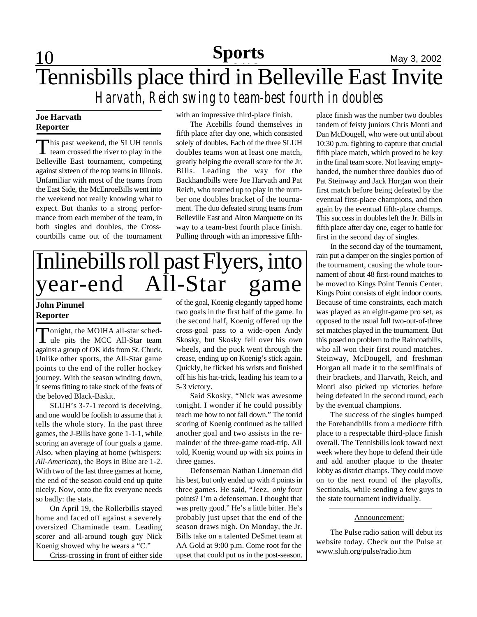## **Feature 10 Sports May 3, 2002** Tennisbills place third in Belleville East Invite *Harvath, Reich swing to team-best fourth in doubles*

### **Joe Harvath Reporter**

This past weekend, the SLUH tennis<br>team crossed the river to play in the This past weekend, the SLUH tennis Belleville East tournament, competing against sixteen of the top teams in Illinois. Unfamiliar with most of the teams from the East Side, the McEnroeBills went into the weekend not really knowing what to expect. But thanks to a strong performance from each member of the team, in both singles and doubles, the Crosscourtbills came out of the tournament

with an impressive third-place finish.

The Acebills found themselves in fifth place after day one, which consisted solely of doubles. Each of the three SLUH doubles teams won at least one match, greatly helping the overall score for the Jr. Bills. Leading the way for the Backhandbills were Joe Harvath and Pat Reich, who teamed up to play in the number one doubles bracket of the tournament. The duo defeated strong teams from Belleville East and Alton Marquette on its way to a team-best fourth place finish. Pulling through with an impressive fifth-

## Inlinebills roll past Flyers, into year-end All-Star game

### **John Pimmel Reporter**

Tonight, the MOIHA all-star sched-<br>
ule pits the MCC All-Star team Tonight, the MOIHA all-star schedagainst a group of OK kids from St. Chuck. Unlike other sports, the All-Star game points to the end of the roller hockey journey. With the season winding down, it seems fitting to take stock of the feats of the beloved Black-Biskit.

SLUH's 3-7-1 record is deceiving, and one would be foolish to assume that it tells the whole story. In the past three games, the J-Bills have gone 1-1-1, while scoring an average of four goals a game. Also, when playing at home (whispers: *All-American*), the Boys in Blue are 1-2. With two of the last three games at home, the end of the season could end up quite nicely. Now, onto the fix everyone needs so badly: the stats.

On April 19, the Rollerbills stayed home and faced off against a severely oversized Chaminade team. Leading scorer and all-around tough guy Nick Koenig showed why he wears a "C."

Criss-crossing in front of either side

of the goal, Koenig elegantly tapped home two goals in the first half of the game. In the second half, Koenig offered up the cross-goal pass to a wide-open Andy Skosky, but Skosky fell over his own wheels, and the puck went through the crease, ending up on Koenig's stick again. Quickly, he flicked his wrists and finished off his his hat-trick, leading his team to a 5-3 victory.

Said Skosky, "Nick was awesome tonight. I wonder if he could possibly teach me how to not fall down." The torrid scoring of Koenig continued as he tallied another goal and two assists in the remainder of the three-game road-trip. All told, Koenig wound up with six points in three games.

Defenseman Nathan Linneman did his best, but only ended up with 4 points in three games. He said, "Jeez, *only* four points? I'm a defenseman. I thought that was pretty good." He's a little bitter. He's probably just upset that the end of the season draws nigh. On Monday, the Jr. Bills take on a talented DeSmet team at AA Gold at 9:00 p.m. Come root for the upset that could put us in the post-season.

place finish was the number two doubles tandem of feisty juniors Chris Monti and Dan McDougell, who were out until about 10:30 p.m. fighting to capture that crucial fifth place match, which proved to be key in the final team score. Not leaving emptyhanded, the number three doubles duo of Pat Steinway and Jack Horgan won their first match before being defeated by the eventual first-place champions, and then again by the eventual fifth-place champs. This success in doubles left the Jr. Bills in fifth place after day one, eager to battle for first in the second day of singles.

In the second day of the tournament, rain put a damper on the singles portion of the tournament, causing the whole tournament of about 48 first-round matches to be moved to Kings Point Tennis Center. Kings Point consists of eight indoor courts. Because of time constraints, each match was played as an eight-game pro set, as opposed to the usual full two-out-of-three set matches played in the tournament. But this posed no problem to the Raincoatbills, who all won their first round matches. Steinway, McDougell, and freshman Horgan all made it to the semifinals of their brackets, and Harvath, Reich, and Monti also picked up victories before being defeated in the second round, each by the eventual champions.

The success of the singles bumped the Forehandbills from a mediocre fifth place to a respectable third-place finish overall. The Tennisbills look toward next week where they hope to defend their title and add another plaque to the theater lobby as district champs. They could move on to the next round of the playoffs, Sectionals, while sending a few guys to the state tournament individually.

### Announcement:

The Pulse radio sation will debut its website today. Check out the Pulse at www.sluh.org/pulse/radio.htm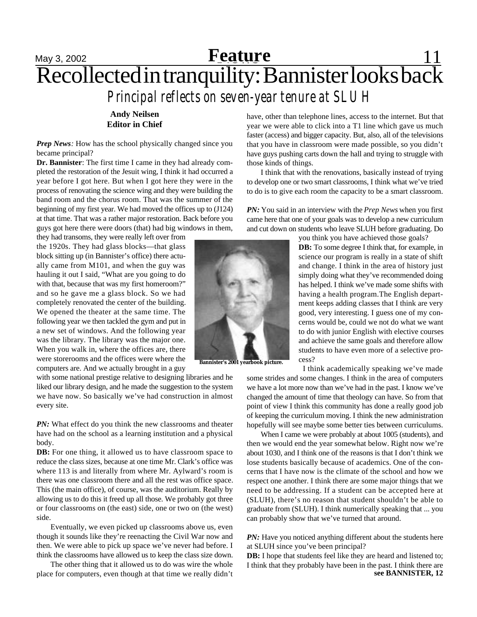### May 3, 2002 **Feature** 11 Recollected in tranquility: Bannister looks back *Principal reflects on seven-year tenure at SLUH* **Feature**

**Andy Neilsen Editor in Chief**

*Prep News*: How has the school physically changed since you became principal?

**Dr. Bannister**: The first time I came in they had already completed the restoration of the Jesuit wing, I think it had occurred a year before I got here. But when I got here they were in the process of renovating the science wing and they were building the band room and the chorus room. That was the summer of the beginning of my first year. We had moved the offices up to (J124) at that time. That was a rather major restoration. Back before you guys got here there were doors (that) had big windows in them,

they had transoms, they were really left over from the 1920s. They had glass blocks—that glass block sitting up (in Bannister's office) there actually came from M101, and when the guy was hauling it out I said, "What are you going to do with that, because that was my first homeroom?" and so he gave me a glass block. So we had completely renovated the center of the building. We opened the theater at the same time. The following year we then tackled the gym and put in a new set of windows. And the following year was the library. The library was the major one. When you walk in, where the offices are, there were storerooms and the offices were where the computers are. And we actually brought in a guy

with some national prestige relative to designing libraries and he liked our library design, and he made the suggestion to the system we have now. So basically we've had construction in almost every site.

*PN:* What effect do you think the new classrooms and theater have had on the school as a learning institution and a physical body.

**DB:** For one thing, it allowed us to have classroom space to reduce the class sizes, because at one time Mr. Clark's office was where 113 is and literally from where Mr. Aylward's room is there was one classroom there and all the rest was office space. This (the main office), of course, was the auditorium. Really by allowing us to do this it freed up all those. We probably got three or four classrooms on (the east) side, one or two on (the west) side.

Eventually, we even picked up classrooms above us, even though it sounds like they're reenacting the Civil War now and then. We were able to pick up space we've never had before. I think the classrooms have allowed us to keep the class size down.

The other thing that it allowed us to do was wire the whole place for computers, even though at that time we really didn't

have, other than telephone lines, access to the internet. But that year we were able to click into a T1 line which gave us much faster (access) and bigger capacity. But, also, all of the televisions that you have in classroom were made possible, so you didn't have guys pushing carts down the hall and trying to struggle with those kinds of things.

I think that with the renovations, basically instead of trying to develop one or two smart classrooms, I think what we've tried to do is to give each room the capacity to be a smart classroom.

*PN:* You said in an interview with the *Prep News* when you first came here that one of your goals was to develop a new curriculum and cut down on students who leave SLUH before graduating. Do



**Bannister's 2001 yearbook picture.**

**DB:** To some degree I think that, for example, in science our program is really in a state of shift and change. I think in the area of history just simply doing what they've recommended doing has helped. I think we've made some shifts with having a health program.The English department keeps adding classes that I think are very good, very interesting. I guess one of my concerns would be, could we not do what we want to do with junior English with elective courses and achieve the same goals and therefore allow students to have even more of a selective pro-

I think academically speaking we've made

some strides and some changes. I think in the area of computers we have a lot more now than we've had in the past. I know we've changed the amount of time that theology can have. So from that point of view I think this community has done a really good job of keeping the curriculum moving. I think the new administration hopefully will see maybe some better ties between curriculums.

When I came we were probably at about 1005 (students), and then we would end the year somewhat below. Right now we're about 1030, and I think one of the reasons is that I don't think we lose students basically because of academics. One of the concerns that I have now is the climate of the school and how we respect one another. I think there are some major things that we need to be addressing. If a student can be accepted here at (SLUH), there's no reason that student shouldn't be able to graduate from (SLUH). I think numerically speaking that ... you can probably show that we've turned that around.

*PN:* Have you noticed anything different about the students here at SLUH since you've been principal?

**DB:** I hope that students feel like they are heard and listened to; I think that they probably have been in the past. I think there are **see BANNISTER, 12**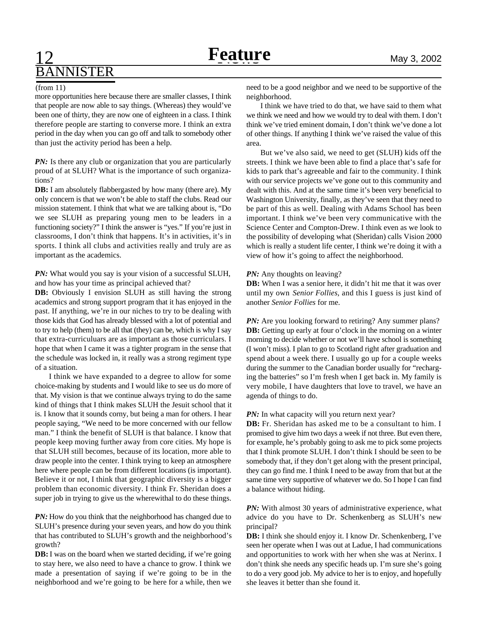## **Feature** May 3, 2002 BANNISTER

#### (from 11)

more opportunities here because there are smaller classes, I think that people are now able to say things. (Whereas) they would've been one of thirty, they are now one of eighteen in a class. I think therefore people are starting to converse more. I think an extra period in the day when you can go off and talk to somebody other than just the activity period has been a help.

*PN*: Is there any club or organization that you are particularly proud of at SLUH? What is the importance of such organizations?

**DB:** I am absolutely flabbergasted by how many (there are). My only concern is that we won't be able to staff the clubs. Read our mission statement. I think that what we are talking about is, "Do we see SLUH as preparing young men to be leaders in a functioning society?" I think the answer is "yes." If you're just in classrooms, I don't think that happens. It's in activities, it's in sports. I think all clubs and activities really and truly are as important as the academics.

*PN:* What would you say is your vision of a successful SLUH, and how has your time as principal achieved that?

**DB:** Obviously I envision SLUH as still having the strong academics and strong support program that it has enjoyed in the past. If anything, we're in our niches to try to be dealing with those kids that God has already blessed with a lot of potential and to try to help (them) to be all that (they) can be, which is why I say that extra-curriculuars are as important as those curriculars. I hope that when I came it was a tighter program in the sense that the schedule was locked in, it really was a strong regiment type of a situation.

I think we have expanded to a degree to allow for some choice-making by students and I would like to see us do more of that. My vision is that we continue always trying to do the same kind of things that I think makes SLUH the Jesuit school that it is. I know that it sounds corny, but being a man for others. I hear people saying, "We need to be more concerned with our fellow man." I think the benefit of SLUH is that balance. I know that people keep moving further away from core cities. My hope is that SLUH still becomes, because of its location, more able to draw people into the center. I think trying to keep an atmosphere here where people can be from different locations (is important). Believe it or not, I think that geographic diversity is a bigger problem than economic diversity. I think Fr. Sheridan does a super job in trying to give us the wherewithal to do these things.

*PN:* How do you think that the neighborhood has changed due to SLUH's presence during your seven years, and how do you think that has contributed to SLUH's growth and the neighborhood's growth?

**DB:** I was on the board when we started deciding, if we're going to stay here, we also need to have a chance to grow. I think we made a presentation of saying if we're going to be in the neighborhood and we're going to be here for a while, then we need to be a good neighbor and we need to be supportive of the neighborhood.

I think we have tried to do that, we have said to them what we think we need and how we would try to deal with them. I don't think we've tried eminent domain, I don't think we've done a lot of other things. If anything I think we've raised the value of this area.

But we've also said, we need to get (SLUH) kids off the streets. I think we have been able to find a place that's safe for kids to park that's agreeable and fair to the community. I think with our service projects we've gone out to this community and dealt with this. And at the same time it's been very beneficial to Washington University, finally, as they've seen that they need to be part of this as well. Dealing with Adams School has been important. I think we've been very communicative with the Science Center and Compton-Drew. I think even as we look to the possibility of developing what (Sheridan) calls Vision 2000 which is really a student life center, I think we're doing it with a view of how it's going to affect the neighborhood.

#### *PN:* Any thoughts on leaving?

**DB:** When I was a senior here, it didn't hit me that it was over until my own *Senior Follies*, and this I guess is just kind of another *Senior Follies* for me.

**PN:** Are you looking forward to retiring? Any summer plans? **DB:** Getting up early at four o'clock in the morning on a winter morning to decide whether or not we'll have school is something (I won't miss). I plan to go to Scotland right after graduation and spend about a week there. I usually go up for a couple weeks during the summer to the Canadian border usually for "recharging the batteries" so I'm fresh when I get back in. My family is very mobile, I have daughters that love to travel, we have an agenda of things to do.

#### *PN*: In what capacity will you return next year?

**DB:** Fr. Sheridan has asked me to be a consultant to him. I promised to give him two days a week if not three. But even there, for example, he's probably going to ask me to pick some projects that I think promote SLUH. I don't think I should be seen to be somebody that, if they don't get along with the present principal, they can go find me. I think I need to be away from that but at the same time very supportive of whatever we do. So I hope I can find a balance without hiding.

*PN:* With almost 30 years of administrative experience, what advice do you have to Dr. Schenkenberg as SLUH's new principal?

**DB:** I think she should enjoy it. I know Dr. Schenkenberg, I've seen her operate when I was out at Ladue, I had communications and opportunities to work with her when she was at Nerinx. I don't think she needs any specific heads up. I'm sure she's going to do a very good job. My advice to her is to enjoy, and hopefully she leaves it better than she found it.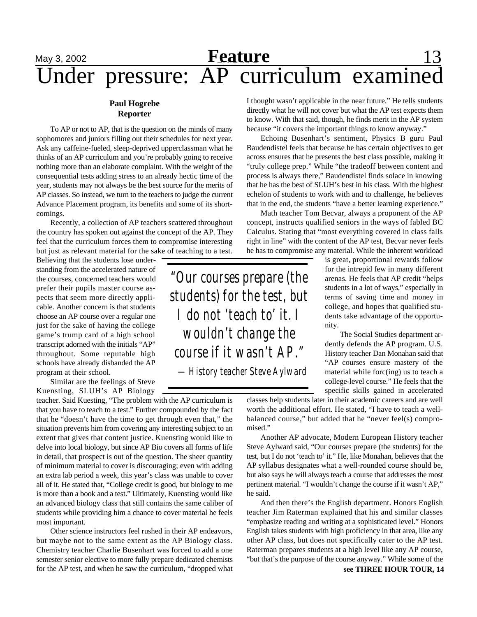## May 3, 2002 **Feature** 13 Under pressure: AP curriculum examined

### **Paul Hogrebe Reporter**

To AP or not to AP, that is the question on the minds of many sophomores and juniors filling out their schedules for next year. Ask any caffeine-fueled, sleep-deprived upperclassman what he thinks of an AP curriculum and you're probably going to receive nothing more than an elaborate complaint. With the weight of the consequential tests adding stress to an already hectic time of the year, students may not always be the best source for the merits of AP classes. So instead, we turn to the teachers to judge the current Advance Placement program, its benefits and some of its shortcomings.

Recently, a collection of AP teachers scattered throughout the country has spoken out against the concept of the AP. They feel that the curriculum forces them to compromise interesting but just as relevant material for the sake of teaching to a test.

Believing that the students lose understanding from the accelerated nature of the courses, concerned teachers would prefer their pupils master course aspects that seem more directly applicable. Another concern is that students choose an AP course over a regular one just for the sake of having the college game's trump card of a high school transcript adorned with the initials "AP" throughout. Some reputable high schools have already disbanded the AP program at their school.

Similar are the feelings of Steve Kuensting, SLUH's AP Biology

teacher. Said Kuesting, "The problem with the AP curriculum is that you have to teach to a test." Further compounded by the fact that he "doesn't have the time to get through even that," the situation prevents him from covering any interesting subject to an extent that gives that content justice. Kuensting would like to delve into local biology, but since AP Bio covers all forms of life in detail, that prospect is out of the question. The sheer quantity of minimum material to cover is discouraging; even with adding an extra lab period a week, this year's class was unable to cover all of it. He stated that, "College credit is good, but biology to me is more than a book and a test." Ultimately, Kuensting would like an advanced biology class that still contains the same caliber of students while providing him a chance to cover material he feels most important.

Other science instructors feel rushed in their AP endeavors, but maybe not to the same extent as the AP Biology class. Chemistry teacher Charlie Busenhart was forced to add a one semester senior elective to more fully prepare dedicated chemists for the AP test, and when he saw the curriculum, "dropped what

I thought wasn't applicable in the near future." He tells students directly what he will not cover but what the AP test expects them to know. With that said, though, he finds merit in the AP system because "it covers the important things to know anyway."

Echoing Busenhart's sentiment, Physics B guru Paul Baudendistel feels that because he has certain objectives to get across ensures that he presents the best class possible, making it "truly college prep." While "the tradeoff between content and process is always there," Baudendistel finds solace in knowing that he has the best of SLUH's best in his class. With the highest echelon of students to work with and to challenge, he believes that in the end, the students "have a better learning experience."

Math teacher Tom Becvar, always a proponent of the AP concept, instructs qualified seniors in the ways of fabled BC Calculus. Stating that "most everything covered in class falls right in line" with the content of the AP test, Becvar never feels he has to compromise any material. While the inherent workload

> is great, proportional rewards follow for the intrepid few in many different arenas. He feels that AP credit "helps students in a lot of ways," especially in terms of saving time and money in college, and hopes that qualified students take advantage of the opportunity.

> The Social Studies department ardently defends the AP program. U.S. History teacher Dan Monahan said that "AP courses ensure mastery of the material while forc(ing) us to teach a college-level course." He feels that the specific skills gained in accelerated

classes help students later in their academic careers and are well worth the additional effort. He stated, "I have to teach a wellbalanced course," but added that he "never feel(s) compromised."

Another AP advocate, Modern European History teacher Steve Aylward said, "Our courses prepare (the students) for the test, but I do not 'teach to' it." He, like Monahan, believes that the AP syllabus designates what a well-rounded course should be, but also says he will always teach a course that addresses the most pertinent material. "I wouldn't change the course if it wasn't AP," he said.

And then there's the English department. Honors English teacher Jim Raterman explained that his and similar classes "emphasize reading and writing at a sophisticated level." Honors English takes students with high proficiency in that area, like any other AP class, but does not specifically cater to the AP test. Raterman prepares students at a high level like any AP course, "but that's the purpose of the course anyway." While some of the

*"Our courses prepare (the students) for the test, but I do not 'teach to' it. I wouldn't change the course if it wasn't AP." —History teacher Steve Aylward*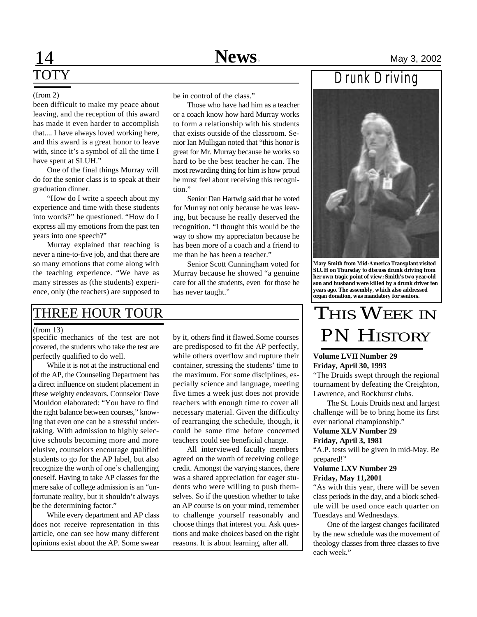# **TOTY**

#### (from 2)

been difficult to make my peace about leaving, and the reception of this award has made it even harder to accomplish that.... I have always loved working here, and this award is a great honor to leave with, since it's a symbol of all the time I have spent at SLUH."

One of the final things Murray will do for the senior class is to speak at their graduation dinner.

"How do I write a speech about my experience and time with these students into words?" he questioned. "How do I express all my emotions from the past ten years into one speech?"

Murray explained that teaching is never a nine-to-five job, and that there are so many emotions that come along with the teaching experience. "We have as many stresses as (the students) experience, only (the teachers) are supposed to be in control of the class."

Those who have had him as a teacher or a coach know how hard Murray works to form a relationship with his students that exists outside of the classroom. Senior Ian Mulligan noted that "this honor is great for Mr. Murray because he works so hard to be the best teacher he can. The most rewarding thing for him is how proud he must feel about receiving this recognition."

Senior Dan Hartwig said that he voted for Murray not only because he was leaving, but because he really deserved the recognition. "I thought this would be the way to show my appreciaton because he has been more of a coach and a friend to me than he has been a teacher."

Senior Scott Cunningham voted for Murray because he showed "a genuine care for all the students, even for those he has never taught."

### THREE HOUR TOUR

#### (from 13)

specific mechanics of the test are not covered, the students who take the test are perfectly qualified to do well.

While it is not at the instructional end of the AP, the Counseling Department has a direct influence on student placement in these weighty endeavors. Counselor Dave Mouldon elaborated: "You have to find the right balance between courses," knowing that even one can be a stressful undertaking. With admission to highly selective schools becoming more and more elusive, counselors encourage qualified students to go for the AP label, but also recognize the worth of one's challenging oneself. Having to take AP classes for the mere sake of college admission is an "unfortunate reality, but it shouldn't always be the determining factor."

While every department and AP class does not receive representation in this article, one can see how many different opinions exist about the AP. Some swear by it, others find it flawed.Some courses are predisposed to fit the AP perfectly, while others overflow and rupture their container, stressing the students' time to the maximum. For some disciplines, especially science and language, meeting five times a week just does not provide teachers with enough time to cover all necessary material. Given the difficulty of rearranging the schedule, though, it could be some time before concerned teachers could see beneficial change.

All interviewed faculty members agreed on the worth of receiving college credit. Amongst the varying stances, there was a shared appreciation for eager students who were willing to push themselves. So if the question whether to take an AP course is on your mind, remember to challenge yourself reasonably and choose things that interest you. Ask questions and make choices based on the right reasons. It is about learning, after all.



**Mary Smith from Mid-America Transplant visited SLUH on Thursday to discuss drunk driving from her own tragic point of view; Smith's two year-old son and husband were killed by a drunk driver ten years ago. The assembly, which also addressed organ donation, was mandatory for seniors.**

## THIS WEEK IN **PN HISTORY**

### **Volume LVII Number 29 Friday, April 30, 1993**

"The Druids swept through the regional tournament by defeating the Creighton, Lawrence, and Rockhurst clubs.

The St. Louis Druids next and largest challenge will be to bring home its first ever national championship."

### **Volume XLV Number 29 Friday, April 3, 1981**

"A.P. tests will be given in mid-May. Be prepared!"

### **Volume LXV Number 29 Friday, May 11,2001**

"As with this year, there will be seven class periods in the day, and a block schedule will be used once each quarter on Tuesdays and Wednesdays.

One of the largest changes facilitated by the new schedule was the movement of theology classes from three classes to five each week."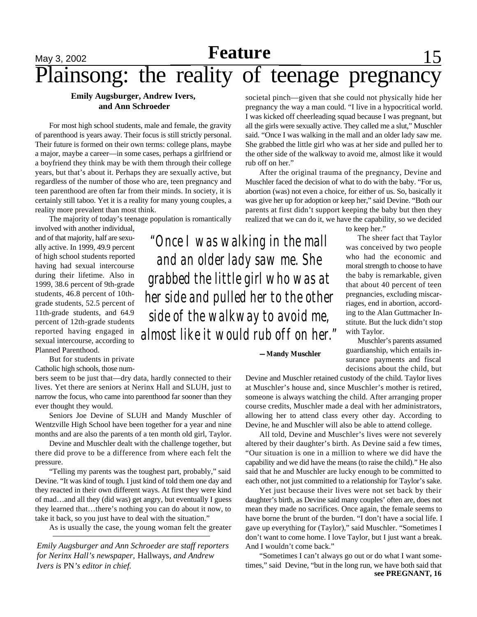### May 3, 2002 **Peature** 15 Plainsong: the reality of teenage pregnancy **Feature**

### **Emily Augsburger, Andrew Ivers, and Ann Schroeder**

For most high school students, male and female, the gravity of parenthood is years away. Their focus is still strictly personal. Their future is formed on their own terms: college plans, maybe a major, maybe a career—in some cases, perhaps a girlfriend or a boyfriend they think may be with them through their college years, but that's about it. Perhaps they are sexually active, but regardless of the number of those who are, teen pregnancy and teen parenthood are often far from their minds. In society, it is certainly still taboo. Yet it is a reality for many young couples, a reality more prevalent than most think.

The majority of today's teenage population is romantically

involved with another individual, and of that majority, half are sexually active. In 1999, 49.9 percent of high school students reported having had sexual intercourse during their lifetime. Also in 1999, 38.6 percent of 9th-grade students, 46.8 percent of 10thgrade students, 52.5 percent of 11th-grade students, and 64.9 percent of 12th-grade students reported having engaged in sexual intercourse, according to Planned Parenthood.

But for students in private Catholic high schools, those num-

bers seem to be just that—dry data, hardly connected to their lives. Yet there are seniors at Nerinx Hall and SLUH, just to narrow the focus, who came into parenthood far sooner than they ever thought they would.

Seniors Joe Devine of SLUH and Mandy Muschler of Wentzville High School have been together for a year and nine months and are also the parents of a ten month old girl, Taylor.

Devine and Muschler dealt with the challenge together, but there did prove to be a difference from where each felt the pressure.

"Telling my parents was the toughest part, probably," said Devine. "It was kind of tough. I just kind of told them one day and they reacted in their own different ways. At first they were kind of mad…and all they (did was) get angry, but eventually I guess they learned that…there's nothing you can do about it now, to take it back, so you just have to deal with the situation."

As is usually the case, the young woman felt the greater

*Emily Augsburger and Ann Schroeder are staff reporters for Nerinx Hall's newspaper,* Hallways*, and Andrew Ivers is* PN*'s editor in chief.*

societal pinch—given that she could not physically hide her pregnancy the way a man could. "I live in a hypocritical world. I was kicked off cheerleading squad because I was pregnant, but all the girls were sexually active. They called me a slut," Muschler said. "Once I was walking in the mall and an older lady saw me. She grabbed the little girl who was at her side and pulled her to the other side of the walkway to avoid me, almost like it would rub off on her."

After the original trauma of the pregnancy, Devine and Muschler faced the decision of what to do with the baby. "For us, abortion (was) not even a choice, for either of us. So, basically it was give her up for adoption or keep her," said Devine. "Both our parents at first didn't support keeping the baby but then they realized that we can do it, we have the capability, so we decided

*"Once I was walking in the mall and an older lady saw me. She grabbed the little girl who was at her side and pulled her to the other side of the walkway to avoid me, almost like it would rub off on her."*

to keep her."

The sheer fact that Taylor was conceived by two people who had the economic and moral strength to choose to have the baby is remarkable, given that about 40 percent of teen pregnancies, excluding miscarriages, end in abortion, according to the Alan Guttmacher Institute. But the luck didn't stop with Taylor.

Muschler's parents assumed guardianship, which entails insurance payments and fiscal decisions about the child, but

### **—Mandy Muschler**

Devine and Muschler retained custody of the child. Taylor lives at Muschler's house and, since Muschler's mother is retired, someone is always watching the child. After arranging proper course credits, Muschler made a deal with her administrators, allowing her to attend class every other day. According to Devine, he and Muschler will also be able to attend college.

All told, Devine and Muschler's lives were not severely altered by their daughter's birth. As Devine said a few times, "Our situation is one in a million to where we did have the capability and we did have the means (to raise the child)." He also said that he and Muschler are lucky enough to be committed to each other, not just committed to a relationship for Taylor's sake.

Yet just because their lives were not set back by their daughter's birth, as Devine said many couples' often are, does not mean they made no sacrifices. Once again, the female seems to have borne the brunt of the burden. "I don't have a social life. I gave up everything for (Taylor)," said Muschler. "Sometimes I don't want to come home. I love Taylor, but I just want a break. And I wouldn't come back."

"Sometimes I can't always go out or do what I want sometimes," said Devine, "but in the long run, we have both said that **see PREGNANT, 16**